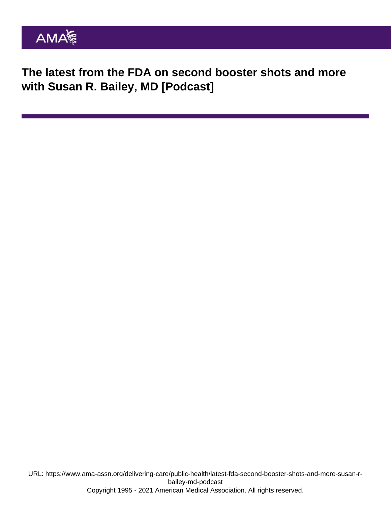The latest from the FDA on second booster shots and more with Susan R. Bailey, MD [Podcast]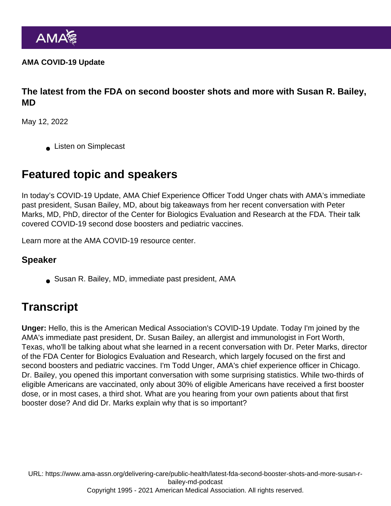AMA COVID-19 Update

The latest from the FDA on second booster shots and more with Susan R. Bailey, MD

May 12, 2022

**Listen on Simplecast** 

## Featured topic and speakers

In today's COVID-19 Update, AMA Chief Experience Officer Todd Unger chats with AMA's immediate past president, Susan Bailey, MD, about big takeaways from her [recent conversation](https://www.ama-assn.org/delivering-care/public-health/covid-19-fourth-dose-boosters-and-vaccine-update-peter-marks-md) with Peter Marks, MD, PhD, director of the Center for Biologics Evaluation and Research at the FDA. Their talk covered COVID-19 second dose boosters and pediatric vaccines.

Learn more at the [AMA COVID-19 resource center](https://www.ama-assn.org/delivering-care/public-health/covid-19-2019-novel-coronavirus-resource-center-physicians](https://www.ama-assn.org/delivering-care/public-health/covid-19-2019-novel-coronavirus-resource-center-physicians)).

## Speaker

Susan R. Bailey, MD, immediate past president, AMA

## **Transcript**

Unger: Hello, this is the American Medical Association's COVID-19 Update. Today I'm joined by the AMA's immediate past president, Dr. Susan Bailey, an allergist and immunologist in Fort Worth, Texas, who'll be talking about what she learned in a recent conversation with Dr. Peter Marks, director of the FDA Center for Biologics Evaluation and Research, which largely focused on the first and second boosters and pediatric vaccines. I'm Todd Unger, AMA's chief experience officer in Chicago. Dr. Bailey, you opened this important conversation with some surprising statistics. While two-thirds of eligible Americans are vaccinated, only about 30% of eligible Americans have received a first booster dose, or in most cases, a third shot. What are you hearing from your own patients about that first booster dose? And did Dr. Marks explain why that is so important?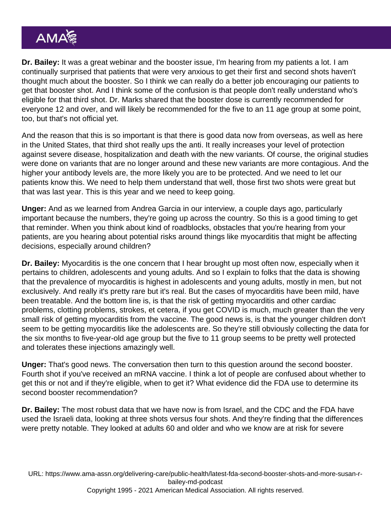Dr. Bailey: It was a great webinar and the booster issue, I'm hearing from my patients a lot. I am continually surprised that patients that were very anxious to get their first and second shots haven't thought much about the booster. So I think we can really do a better job encouraging our patients to get that booster shot. And I think some of the confusion is that people don't really understand who's eligible for that third shot. Dr. Marks shared that the booster dose is currently recommended for everyone 12 and over, and will likely be recommended for the five to an 11 age group at some point, too, but that's not official yet.

And the reason that this is so important is that there is good data now from overseas, as well as here in the United States, that third shot really ups the anti. It really increases your level of protection against severe disease, hospitalization and death with the new variants. Of course, the original studies were done on variants that are no longer around and these new variants are more contagious. And the higher your antibody levels are, the more likely you are to be protected. And we need to let our patients know this. We need to help them understand that well, those first two shots were great but that was last year. This is this year and we need to keep going.

Unger: And as we learned from Andrea Garcia in our interview, a couple days ago, particularly important because the numbers, they're going up across the country. So this is a good timing to get that reminder. When you think about kind of roadblocks, obstacles that you're hearing from your patients, are you hearing about potential risks around things like myocarditis that might be affecting decisions, especially around children?

Dr. Bailey: Myocarditis is the one concern that I hear brought up most often now, especially when it pertains to children, adolescents and young adults. And so I explain to folks that the data is showing that the prevalence of myocarditis is highest in adolescents and young adults, mostly in men, but not exclusively. And really it's pretty rare but it's real. But the cases of myocarditis have been mild, have been treatable. And the bottom line is, is that the risk of getting myocarditis and other cardiac problems, clotting problems, strokes, et cetera, if you get COVID is much, much greater than the very small risk of getting myocarditis from the vaccine. The good news is, is that the younger children don't seem to be getting myocarditis like the adolescents are. So they're still obviously collecting the data for the six months to five-year-old age group but the five to 11 group seems to be pretty well protected and tolerates these injections amazingly well.

Unger: That's good news. The conversation then turn to this question around the second booster. Fourth shot if you've received an mRNA vaccine. I think a lot of people are confused about whether to get this or not and if they're eligible, when to get it? What evidence did the FDA use to determine its second booster recommendation?

Dr. Bailey: The most robust data that we have now is from Israel, and the CDC and the FDA have used the Israeli data, looking at three shots versus four shots. And they're finding that the differences were pretty notable. They looked at adults 60 and older and who we know are at risk for severe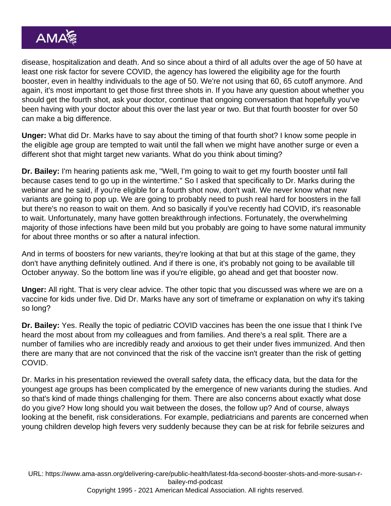disease, hospitalization and death. And so since about a third of all adults over the age of 50 have at least one risk factor for severe COVID, the agency has lowered the eligibility age for the fourth booster, even in healthy individuals to the age of 50. We're not using that 60, 65 cutoff anymore. And again, it's most important to get those first three shots in. If you have any question about whether you should get the fourth shot, ask your doctor, continue that ongoing conversation that hopefully you've been having with your doctor about this over the last year or two. But that fourth booster for over 50 can make a big difference.

Unger: What did Dr. Marks have to say about the timing of that fourth shot? I know some people in the eligible age group are tempted to wait until the fall when we might have another surge or even a different shot that might target new variants. What do you think about timing?

Dr. Bailey: I'm hearing patients ask me, "Well, I'm going to wait to get my fourth booster until fall because cases tend to go up in the wintertime." So I asked that specifically to Dr. Marks during the webinar and he said, if you're eligible for a fourth shot now, don't wait. We never know what new variants are going to pop up. We are going to probably need to push real hard for boosters in the fall but there's no reason to wait on them. And so basically if you've recently had COVID, it's reasonable to wait. Unfortunately, many have gotten breakthrough infections. Fortunately, the overwhelming majority of those infections have been mild but you probably are going to have some natural immunity for about three months or so after a natural infection.

And in terms of boosters for new variants, they're looking at that but at this stage of the game, they don't have anything definitely outlined. And if there is one, it's probably not going to be available till October anyway. So the bottom line was if you're eligible, go ahead and get that booster now.

Unger: All right. That is very clear advice. The other topic that you discussed was where we are on a vaccine for kids under five. Did Dr. Marks have any sort of timeframe or explanation on why it's taking so long?

Dr. Bailey: Yes. Really the topic of pediatric COVID vaccines has been the one issue that I think I've heard the most about from my colleagues and from families. And there's a real split. There are a number of families who are incredibly ready and anxious to get their under fives immunized. And then there are many that are not convinced that the risk of the vaccine isn't greater than the risk of getting COVID.

Dr. Marks in his presentation reviewed the overall safety data, the efficacy data, but the data for the youngest age groups has been complicated by the emergence of new variants during the studies. And so that's kind of made things challenging for them. There are also concerns about exactly what dose do you give? How long should you wait between the doses, the follow up? And of course, always looking at the benefit, risk considerations. For example, pediatricians and parents are concerned when young children develop high fevers very suddenly because they can be at risk for febrile seizures and